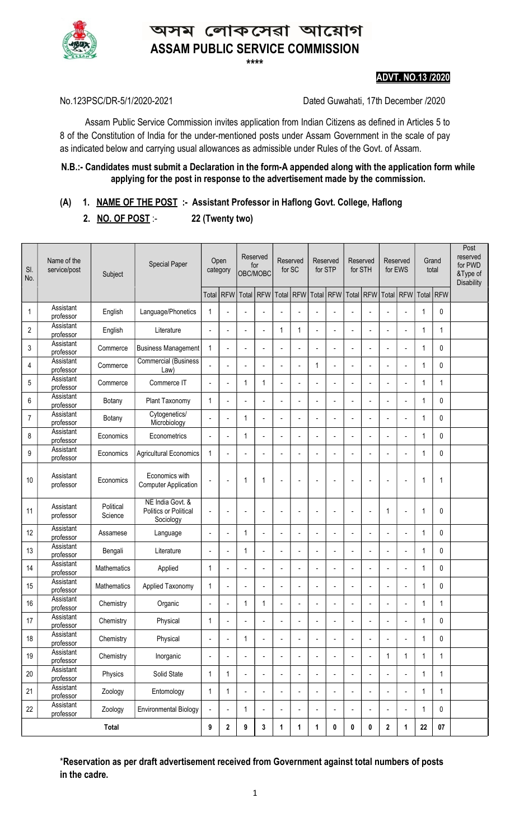

# ম লোকসেৱা আয়োগ ASSAM PUBLIC SERVICE COMMISSION

\*\*\*\*

#### ADVT. NO.13 /2020

No.123PSC/DR-5/1/2020-2021 Dated Guwahati, 17th December /2020

 Assam Public Service Commission invites application from Indian Citizens as defined in Articles 5 to 8 of the Constitution of India for the under-mentioned posts under Assam Government in the scale of pay as indicated below and carrying usual allowances as admissible under Rules of the Govt. of Assam. Ī

#### N.B.:- Candidates must submit a Declaration in the form-A appended along with the application form while applying for the post in response to the advertisement made by the commission.

# (A) 1. NAME OF THE POST :- Assistant Professor in Haflong Govt. College, Haflong

2. NO. OF POST :- 22 (Twenty two)

| SI.<br>No.     | Name of the<br>service/post | Subject              | Special Paper                                          |                          | Open<br>category         |                | Reserved<br>for<br>OBC/MOBC |             | Reserved<br>for SC       | Reserved<br>for STP      |                          | Reserved<br>for STH      |                          | Reserved<br>for EWS      |                | Grand<br>total |              | Post<br>reserved<br>for PWD<br>&Type of<br><b>Disability</b> |
|----------------|-----------------------------|----------------------|--------------------------------------------------------|--------------------------|--------------------------|----------------|-----------------------------|-------------|--------------------------|--------------------------|--------------------------|--------------------------|--------------------------|--------------------------|----------------|----------------|--------------|--------------------------------------------------------------|
|                |                             |                      |                                                        |                          | Total RFW                | Total          | RFW                         |             | Total RFW Total          |                          | RFW                      | Total RFW                |                          | Total                    | <b>RFW</b>     | Total RFW      |              |                                                              |
| 1              | Assistant<br>professor      | English              | Language/Phonetics                                     | 1                        | $\overline{a}$           |                |                             |             | $\blacksquare$           | $\overline{a}$           |                          | $\overline{a}$           |                          |                          | L.             | 1              | 0            |                                                              |
| $\overline{c}$ | Assistant<br>professor      | English              | Literature                                             | $\overline{a}$           |                          |                | ÷.                          | $\mathbf 1$ | 1                        | ÷.                       | $\overline{a}$           | $\overline{a}$           |                          |                          |                | 1              | 1            |                                                              |
| 3              | Assistant<br>professor      | Commerce             | <b>Business Management</b>                             | 1                        | $\overline{a}$           |                |                             |             | $\overline{a}$           | $\overline{a}$           |                          | $\overline{a}$           |                          |                          |                | 1              | 0            |                                                              |
| 4              | Assistant<br>professor      | Commerce             | <b>Commercial (Business</b><br>Law)                    |                          |                          |                |                             |             | $\overline{\phantom{a}}$ | $\mathbf{1}$             |                          | $\overline{a}$           |                          |                          |                | 1              | 0            |                                                              |
| 5              | Assistant<br>professor      | Commerce             | Commerce IT                                            | $\blacksquare$           | $\overline{a}$           | 1              | 1                           | L,          | $\overline{a}$           | $\overline{a}$           | $\overline{a}$           | $\overline{a}$           |                          |                          |                | 1              | 1            |                                                              |
| 6              | Assistant<br>professor      | Botany               | Plant Taxonomy                                         | 1                        | $\overline{a}$           |                |                             |             | $\blacksquare$           | $\overline{a}$           |                          | $\blacksquare$           |                          |                          |                | 1              | 0            |                                                              |
| 7              | Assistant<br>professor      | Botany               | Cytogenetics/<br>Microbiology                          | $\overline{a}$           | $\overline{\phantom{a}}$ | 1              | ÷                           | L,          | $\overline{\phantom{a}}$ | ÷,                       |                          | $\overline{a}$           |                          |                          |                | 1              | 0            |                                                              |
| 8              | Assistant<br>professor      | Economics            | Econometrics                                           | $\overline{\phantom{a}}$ | $\blacksquare$           | 1              | $\overline{\phantom{a}}$    | L,          | $\overline{\phantom{a}}$ | $\overline{a}$           | $\blacksquare$           | $\overline{a}$           |                          | ÷,                       |                | 1              | 0            |                                                              |
| 9              | Assistant<br>professor      | Economics            | <b>Agricultural Economics</b>                          | 1                        |                          |                |                             |             | $\blacksquare$           | $\overline{\phantom{a}}$ |                          | L,                       |                          |                          |                | 1              | 0            |                                                              |
| 10             | Assistant<br>professor      | Economics            | Economics with<br><b>Computer Application</b>          |                          |                          | $\mathbf 1$    | 1                           |             |                          |                          |                          |                          |                          |                          |                | 1              | 1            |                                                              |
| 11             | Assistant<br>professor      | Political<br>Science | NE India Govt. &<br>Politics or Political<br>Sociology | $\overline{a}$           | $\overline{\phantom{a}}$ | ٠              | ÷,                          | Ĭ.          | $\overline{\phantom{a}}$ | ÷                        |                          | ÷                        | $\overline{a}$           | 1                        | ÷,             | 1              | $\mathbf{0}$ |                                                              |
| 12             | Assistant<br>professor      | Assamese             | Language                                               | $\blacksquare$           | $\overline{a}$           | 1              | ÷                           | Ĭ.          | $\overline{\phantom{a}}$ | ÷,                       |                          | $\overline{a}$           |                          | ÷,                       |                | 1              | 0            |                                                              |
| 13             | Assistant<br>professor      | Bengali              | Literature                                             | $\overline{\phantom{a}}$ | $\blacksquare$           | 1              |                             | Ĭ.          | $\blacksquare$           | $\overline{a}$           | $\overline{a}$           | $\blacksquare$           | ÷                        |                          |                | 1              | 0            |                                                              |
| 14             | Assistant<br>professor      | <b>Mathematics</b>   | Applied                                                | $\mathbf{1}$             | $\overline{a}$           |                |                             | L,          | $\overline{\phantom{a}}$ | ÷.                       | $\overline{a}$           | $\overline{a}$           |                          |                          |                | 1              | $\mathbf{0}$ |                                                              |
| 15             | Assistant<br>professor      | <b>Mathematics</b>   | Applied Taxonomy                                       | 1                        | $\overline{a}$           | Ĭ.             | ÷,                          | ÷           | ÷,                       | $\overline{a}$           | $\overline{a}$           | $\overline{\phantom{a}}$ | $\overline{\phantom{a}}$ | ÷                        | $\overline{a}$ | 1              | 0            |                                                              |
| 16             | Assistant<br>professor      | Chemistry            | Organic                                                | $\overline{\phantom{a}}$ |                          | 1              | 1                           |             | $\blacksquare$           |                          |                          |                          |                          |                          |                |                | 1            |                                                              |
| 17             | Assistant<br>professor      | Chemistry            | Physical                                               | 1                        | ÷                        | ÷              | ÷,                          | ٠           | $\overline{\phantom{a}}$ | $\overline{\phantom{a}}$ | $\overline{a}$           | $\overline{a}$           | $\overline{a}$           | $\overline{a}$           | ÷              | 1              | $\pmb{0}$    |                                                              |
| 18             | Assistant<br>professor      | Chemistry            | Physical                                               | $\overline{\phantom{a}}$ | $\overline{\phantom{a}}$ | $\mathbf{1}$   |                             |             | $\overline{\phantom{a}}$ | $\overline{a}$           |                          | $\blacksquare$           |                          |                          |                | 1              | 0            |                                                              |
| 19             | Assistant<br>professor      | Chemistry            | Inorganic                                              | $\overline{\phantom{a}}$ | $\overline{a}$           | $\overline{a}$ | $\blacksquare$              | Ĭ.          | $\overline{\phantom{a}}$ | $\overline{\phantom{a}}$ | $\overline{\phantom{a}}$ | $\overline{\phantom{a}}$ | $\overline{a}$           | 1                        | 1              | 1              | 1            |                                                              |
| 20             | Assistant<br>professor      | Physics              | Solid State                                            | $\mathbf{1}$             | 1                        | $\overline{a}$ | Ĭ.                          | Ĭ.          | $\overline{\phantom{a}}$ | $\overline{a}$           | $\overline{\phantom{a}}$ | $\blacksquare$           |                          | $\overline{a}$           | ÷,             | 1              | $\mathbf{1}$ |                                                              |
| 21             | Assistant<br>professor      | Zoology              | Entomology                                             | $\mathbf{1}$             | 1                        | $\overline{a}$ | $\blacksquare$              | Ĭ.          | $\blacksquare$           | $\frac{1}{2}$            | $\blacksquare$           | $\overline{a}$           | $\overline{a}$           | ÷,                       | ÷,             | 1              | 1            |                                                              |
| 22             | Assistant<br>professor      | Zoology              | <b>Environmental Biology</b>                           |                          | $\overline{\phantom{a}}$ | 1              |                             |             | $\overline{\phantom{a}}$ | $\blacksquare$           | $\blacksquare$           | $\blacksquare$           |                          | $\overline{\phantom{a}}$ |                | 1              | $\mathbf 0$  |                                                              |
| <b>Total</b>   |                             |                      |                                                        | 9                        | $\mathbf{2}$             | 9              | 3                           | 1           | 1                        | 1                        | $\pmb{0}$                | 0                        | 0                        | $\mathbf 2$              | 1              | 22             | $07\,$       |                                                              |

\*Reservation as per draft advertisement received from Government against total numbers of posts in the cadre.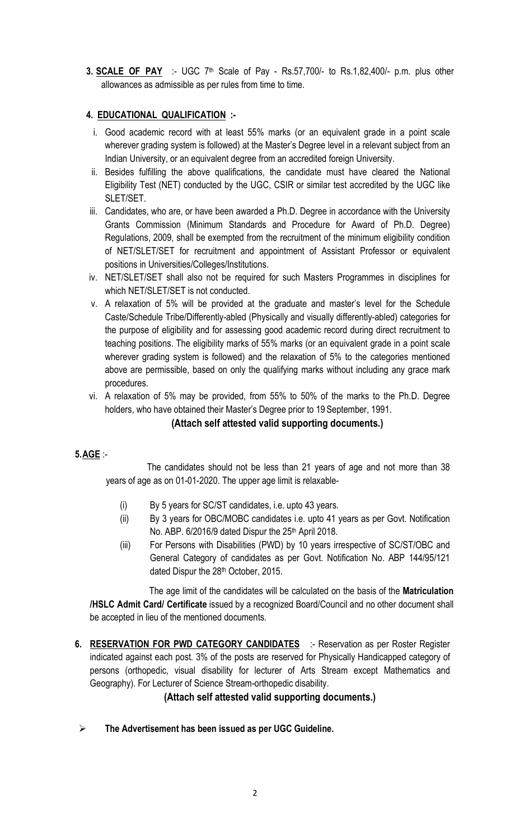3. **SCALE OF PAY** :- UGC 7<sup>th</sup> Scale of Pay - Rs.57,700/- to Rs.1,82,400/- p.m. plus other allowances as admissible as per rules from time to time.

# 4. EDUCATIONAL QUALIFICATION :-

- i. Good academic record with at least 55% marks (or an equivalent grade in a point scale wherever grading system is followed) at the Master's Degree level in a relevant subject from an Indian University, or an equivalent degree from an accredited foreign University.
- ii. Besides fulfilling the above qualifications, the candidate must have cleared the National Eligibility Test (NET) conducted by the UGC, CSIR or similar test accredited by the UGC like SLET/SET.
- iii. Candidates, who are, or have been awarded a Ph.D. Degree in accordance with the University Grants Commission (Minimum Standards and Procedure for Award of Ph.D. Degree) Regulations, 2009, shall be exempted from the recruitment of the minimum eligibility condition of NET/SLET/SET for recruitment and appointment of Assistant Professor or equivalent positions in Universities/Colleges/Institutions.
- iv. NET/SLET/SET shall also not be required for such Masters Programmes in disciplines for which NET/SLET/SET is not conducted.
- v. A relaxation of 5% will be provided at the graduate and master's level for the Schedule Caste/Schedule Tribe/Differently-abled (Physically and visually differently-abled) categories for the purpose of eligibility and for assessing good academic record during direct recruitment to teaching positions. The eligibility marks of 55% marks (or an equivalent grade in a point scale wherever grading system is followed) and the relaxation of 5% to the categories mentioned above are permissible, based on only the qualifying marks without including any grace mark procedures.
- vi. A relaxation of 5% may be provided, from 55% to 50% of the marks to the Ph.D. Degree holders, who have obtained their Master's Degree prior to 19 September, 1991.

#### (Attach self attested valid supporting documents.)

#### 5.AGE :-

 The candidates should not be less than 21 years of age and not more than 38 years of age as on 01-01-2020. The upper age limit is relaxable-

- (i) By 5 years for SC/ST candidates, i.e. upto 43 years.
- (ii) By 3 years for OBC/MOBC candidates i.e. upto 41 years as per Govt. Notification No. ABP. 6/2016/9 dated Dispur the 25<sup>th</sup> April 2018.
- (iii) For Persons with Disabilities (PWD) by 10 years irrespective of SC/ST/OBC and General Category of candidates as per Govt. Notification No. ABP 144/95/121 dated Dispur the 28<sup>th</sup> October, 2015.

 The age limit of the candidates will be calculated on the basis of the Matriculation /HSLC Admit Card/ Certificate issued by a recognized Board/Council and no other document shall be accepted in lieu of the mentioned documents.

6. RESERVATION FOR PWD CATEGORY CANDIDATES :- Reservation as per Roster Register indicated against each post. 3% of the posts are reserved for Physically Handicapped category of persons (orthopedic, visual disability for lecturer of Arts Stream except Mathematics and Geography). For Lecturer of Science Stream-orthopedic disability.

# (Attach self attested valid supporting documents.)

 $\triangleright$  The Advertisement has been issued as per UGC Guideline.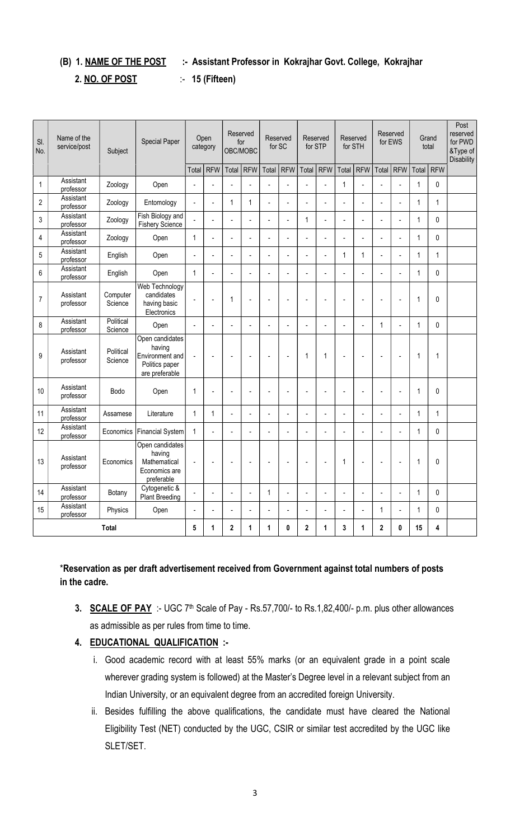# (B) 1. NAME OF THE POST :- Assistant Professor in Kokrajhar Govt. College, Kokrajhar

#### 2. NO. OF POST :- 15 (Fifteen)

| SI.<br>No.     | Name of the<br>service/post               | Subject              | <b>Special Paper</b>                                                             |                | Open<br>category |                | Reserved<br>for<br>OBC/MOBC | Reserved<br>for SC |                | for STP        | Reserved       | for STH        | Reserved       |                          | Reserved<br>for EWS      |                | Grand<br>total | Post<br>reserved<br>for PWD<br>&Type of<br><b>Disability</b> |
|----------------|-------------------------------------------|----------------------|----------------------------------------------------------------------------------|----------------|------------------|----------------|-----------------------------|--------------------|----------------|----------------|----------------|----------------|----------------|--------------------------|--------------------------|----------------|----------------|--------------------------------------------------------------|
|                |                                           |                      |                                                                                  | Total          | <b>RFW</b>       | Total          | <b>RFW</b>                  | Total              | <b>RFW</b>     | Total          | <b>RFW</b>     | Total          | <b>RFW</b>     | Total                    | <b>RFW</b>               |                | Total   RFW    |                                                              |
| $\mathbf{1}$   | Assistant<br>professor                    | Zoology              | Open                                                                             | $\overline{a}$ |                  |                |                             |                    | $\overline{a}$ | $\overline{a}$ |                | $\mathbf{1}$   |                | L                        |                          | $\mathbf{1}$   | 0              |                                                              |
| $\overline{2}$ | Assistant<br>professor                    | Zoology              | Entomology                                                                       | $\overline{a}$ | $\overline{a}$   | $\mathbf 1$    | 1                           |                    | $\overline{a}$ | $\overline{a}$ | $\overline{a}$ | $\overline{a}$ |                | $\overline{a}$           |                          | $\mathbf{1}$   | $\mathbf{1}$   |                                                              |
| 3              | Assistant<br>professor                    | Zoology              | Fish Biology and<br><b>Fishery Science</b>                                       |                | $\overline{a}$   | $\overline{a}$ | $\overline{a}$              | $\blacksquare$     | $\overline{a}$ | $\mathbf{1}$   | $\overline{a}$ | $\overline{a}$ | $\overline{a}$ | $\overline{a}$           | $\overline{a}$           | 1              | 0              |                                                              |
| 4              | Assistant<br>professor                    | Zoology              | Open                                                                             | $\mathbf{1}$   | $\overline{a}$   | $\overline{a}$ | $\overline{a}$              | $\overline{a}$     | $\overline{a}$ | $\overline{a}$ | $\overline{a}$ | $\overline{a}$ | ÷,             | $\overline{a}$           |                          | 1              | 0              |                                                              |
| 5              | Assistant<br>professor                    | English              | Open                                                                             | $\overline{a}$ | $\overline{a}$   | $\overline{a}$ | $\overline{a}$              |                    | $\overline{a}$ | $\overline{a}$ | $\overline{a}$ | $\mathbf{1}$   | $\mathbf{1}$   | $\overline{a}$           | $\overline{a}$           | $\mathbf{1}$   | $\mathbf{1}$   |                                                              |
| 6              | Assistant<br>professor                    | English              | Open                                                                             | $\mathbf{1}$   | $\overline{a}$   | $\overline{a}$ | ÷,                          | $\overline{a}$     | $\overline{a}$ | ÷,             | ÷.             | $\overline{a}$ | ÷,             | $\overline{a}$           | $\overline{a}$           | $\mathbf{1}$   | 0              |                                                              |
| $\overline{7}$ | Assistant<br>professor                    | Computer<br>Science  | Web Technology<br>candidates<br>having basic<br>Electronics                      | $\overline{a}$ | $\overline{a}$   | $\mathbf{1}$   | $\overline{a}$              | $\overline{a}$     | $\overline{a}$ | $\overline{a}$ | $\overline{a}$ | l.             | $\overline{a}$ | $\overline{a}$           | ÷,                       | $\overline{1}$ | 0              |                                                              |
| 8              | Assistant<br>professor                    | Political<br>Science | Open                                                                             | $\overline{a}$ | L.               | ÷.             | ÷,                          |                    | $\overline{a}$ | ÷,             |                | $\overline{a}$ |                | $\mathbf{1}$             | $\overline{a}$           | $\mathbf{1}$   | 0              |                                                              |
| 9              | Assistant<br>professor                    | Political<br>Science | Open candidates<br>having<br>Environment and<br>Politics paper<br>are preferable | $\overline{a}$ | ÷.               | $\overline{a}$ | $\overline{a}$              | $\overline{a}$     | $\overline{a}$ | $\mathbf{1}$   | 1              | $\overline{a}$ | $\overline{a}$ | ÷,                       | $\overline{a}$           | $\mathbf 1$    | $\mathbf{1}$   |                                                              |
| 10             | Assistant<br>professor                    | <b>Bodo</b>          | Open                                                                             | $\mathbf{1}$   | ÷,               | ÷,             | $\overline{\phantom{a}}$    |                    | ÷,             | Ĭ.             | $\overline{a}$ | L              |                | Ĭ.                       | $\overline{a}$           | $\mathbf{1}$   | 0              |                                                              |
| 11             | Assistant<br>professor                    | Assamese             | Literature                                                                       | $\mathbf{1}$   | $\mathbf{1}$     | $\overline{a}$ | ÷,                          | $\overline{a}$     | $\overline{a}$ | ÷,             | $\overline{a}$ | L              | $\overline{a}$ | $\overline{a}$           | $\overline{\phantom{a}}$ | $\mathbf{1}$   | $\mathbf{1}$   |                                                              |
| 12             | Assistant<br>professor                    | Economics            | Financial System                                                                 | $\mathbf{1}$   |                  |                |                             |                    |                | $\overline{a}$ |                |                |                |                          |                          | 1              | 0              |                                                              |
| 13             | Assistant<br>professor                    | Economics            | Open candidates<br>having<br>Mathematical<br>Economics are<br>preferable         | $\blacksquare$ | ÷,               | $\overline{a}$ | $\overline{\phantom{a}}$    | $\overline{a}$     | $\overline{a}$ | ÷,             | $\blacksquare$ | $\mathbf{1}$   | ÷,             | $\overline{\phantom{a}}$ | $\overline{a}$           | 1              | 0              |                                                              |
| 14             | Assistant<br>professor                    | Botany               | Cytogenetic &<br>Plant Breeding                                                  | $\overline{a}$ | ÷.               | ÷,             | ÷,                          | $\mathbf{1}$       | $\overline{a}$ | $\overline{a}$ | $\overline{a}$ | L              | $\overline{a}$ | Ĭ.                       | $\overline{a}$           | $\mathbf{1}$   | 0              |                                                              |
| 15             | Assistant<br>Physics<br>Open<br>professor |                      |                                                                                  |                |                  |                |                             |                    | $\overline{a}$ |                | L,             |                | $\mathbf{1}$   |                          | $\mathbf{1}$             | 0              |                |                                                              |
| <b>Total</b>   |                                           |                      |                                                                                  | 5              | 1                | $\mathbf{2}$   | 1                           | 1                  | 0              | $\mathbf 2$    | 1              | 3              | 1              | $\overline{2}$           | 0                        | 15             | 4              |                                                              |

# \*Reservation as per draft advertisement received from Government against total numbers of posts in the cadre.

3. **SCALE OF PAY** :- UGC 7<sup>th</sup> Scale of Pay - Rs.57,700/- to Rs.1,82,400/- p.m. plus other allowances as admissible as per rules from time to time.

### 4. EDUCATIONAL QUALIFICATION :-

- i. Good academic record with at least 55% marks (or an equivalent grade in a point scale wherever grading system is followed) at the Master's Degree level in a relevant subject from an Indian University, or an equivalent degree from an accredited foreign University.
- ii. Besides fulfilling the above qualifications, the candidate must have cleared the National Eligibility Test (NET) conducted by the UGC, CSIR or similar test accredited by the UGC like SLET/SET.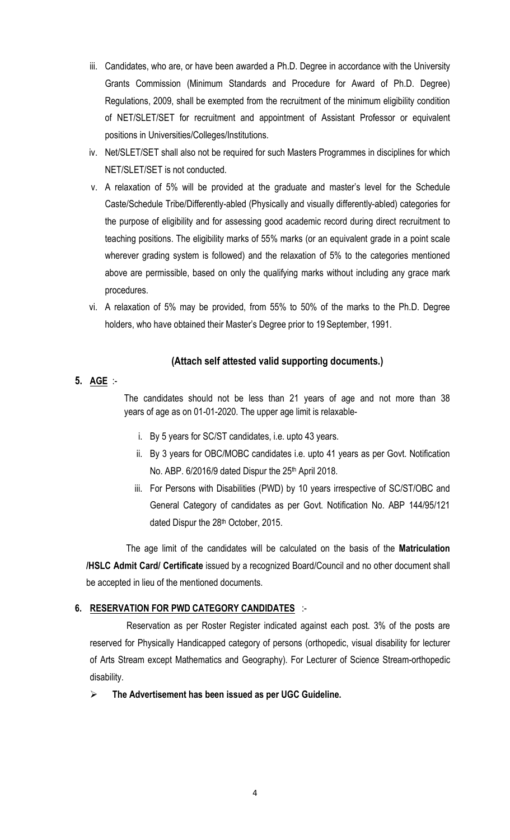- iii. Candidates, who are, or have been awarded a Ph.D. Degree in accordance with the University Grants Commission (Minimum Standards and Procedure for Award of Ph.D. Degree) Regulations, 2009, shall be exempted from the recruitment of the minimum eligibility condition of NET/SLET/SET for recruitment and appointment of Assistant Professor or equivalent positions in Universities/Colleges/Institutions.
- iv. Net/SLET/SET shall also not be required for such Masters Programmes in disciplines for which NET/SLET/SET is not conducted.
- v. A relaxation of 5% will be provided at the graduate and master's level for the Schedule Caste/Schedule Tribe/Differently-abled (Physically and visually differently-abled) categories for the purpose of eligibility and for assessing good academic record during direct recruitment to teaching positions. The eligibility marks of 55% marks (or an equivalent grade in a point scale wherever grading system is followed) and the relaxation of 5% to the categories mentioned above are permissible, based on only the qualifying marks without including any grace mark procedures.
- vi. A relaxation of 5% may be provided, from 55% to 50% of the marks to the Ph.D. Degree holders, who have obtained their Master's Degree prior to 19 September, 1991.

#### (Attach self attested valid supporting documents.)

# 5. AGE :-

 The candidates should not be less than 21 years of age and not more than 38 years of age as on 01-01-2020. The upper age limit is relaxable-

- i. By 5 years for SC/ST candidates, i.e. upto 43 years.
- ii. By 3 years for OBC/MOBC candidates i.e. upto 41 years as per Govt. Notification No. ABP. 6/2016/9 dated Dispur the 25<sup>th</sup> April 2018.
- iii. For Persons with Disabilities (PWD) by 10 years irrespective of SC/ST/OBC and General Category of candidates as per Govt. Notification No. ABP 144/95/121 dated Dispur the 28<sup>th</sup> October, 2015.

 The age limit of the candidates will be calculated on the basis of the Matriculation /HSLC Admit Card/ Certificate issued by a recognized Board/Council and no other document shall be accepted in lieu of the mentioned documents.

#### 6. RESERVATION FOR PWD CATEGORY CANDIDATES :-

 Reservation as per Roster Register indicated against each post. 3% of the posts are reserved for Physically Handicapped category of persons (orthopedic, visual disability for lecturer of Arts Stream except Mathematics and Geography). For Lecturer of Science Stream-orthopedic disability.

#### $\triangleright$  The Advertisement has been issued as per UGC Guideline.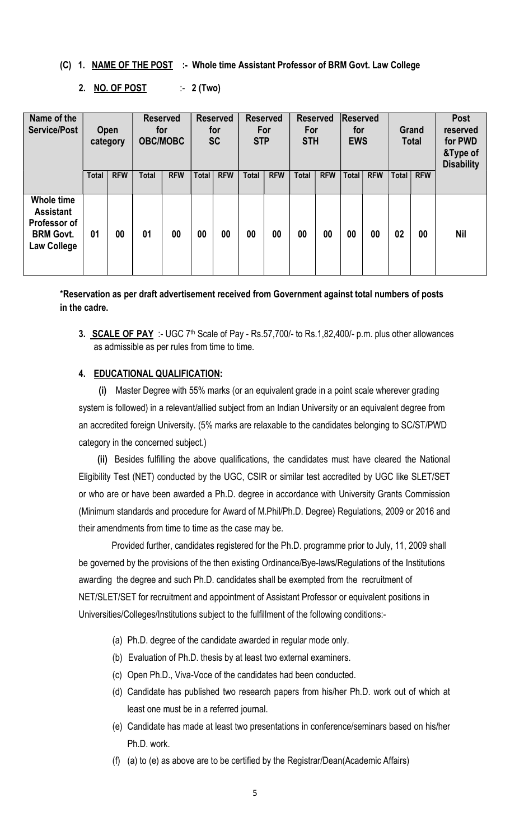#### (C) 1. NAME OF THE POST :- Whole time Assistant Professor of BRM Govt. Law College

#### 2. NO. OF POST :- 2 (Two)

| Name of the<br><b>Service/Post</b>                                                       | Open<br>category |            | <b>Reserved</b><br>for<br><b>OBC/MOBC</b> |            | <b>Reserved</b><br>for<br><b>SC</b> |            | <b>Reserved</b><br>For<br><b>STP</b> |            | <b>Reserved</b><br>For<br><b>STH</b> |            | Reserved<br>for<br><b>EWS</b> |            |              | <b>Grand</b><br><b>Total</b> | Post<br>reserved<br>for PWD<br>&Type of<br><b>Disability</b> |
|------------------------------------------------------------------------------------------|------------------|------------|-------------------------------------------|------------|-------------------------------------|------------|--------------------------------------|------------|--------------------------------------|------------|-------------------------------|------------|--------------|------------------------------|--------------------------------------------------------------|
|                                                                                          | <b>Total</b>     | <b>RFW</b> | <b>Total</b>                              | <b>RFW</b> | <b>Total</b>                        | <b>RFW</b> | <b>Total</b>                         | <b>RFW</b> | <b>Total</b>                         | <b>RFW</b> | <b>Total</b>                  | <b>RFW</b> | <b>Total</b> | <b>RFW</b>                   |                                                              |
| Whole time<br><b>Assistant</b><br>Professor of<br><b>BRM Govt.</b><br><b>Law College</b> | 01               | 00         | 01                                        | 00         | 00                                  | 00         | 00                                   | 00         | 00                                   | 00         | 00                            | 00         | 02           | 00                           | <b>Nil</b>                                                   |

\*Reservation as per draft advertisement received from Government against total numbers of posts in the cadre.

3. **SCALE OF PAY** :- UGC 7<sup>th</sup> Scale of Pay - Rs.57,700/- to Rs.1,82,400/- p.m. plus other allowances as admissible as per rules from time to time.

#### 4. EDUCATIONAL QUALIFICATION:

(i) Master Degree with 55% marks (or an equivalent grade in a point scale wherever grading system is followed) in a relevant/allied subject from an Indian University or an equivalent degree from an accredited foreign University. (5% marks are relaxable to the candidates belonging to SC/ST/PWD category in the concerned subject.)

(ii) Besides fulfilling the above qualifications, the candidates must have cleared the National Eligibility Test (NET) conducted by the UGC, CSIR or similar test accredited by UGC like SLET/SET or who are or have been awarded a Ph.D. degree in accordance with University Grants Commission (Minimum standards and procedure for Award of M.Phil/Ph.D. Degree) Regulations, 2009 or 2016 and their amendments from time to time as the case may be.

 Provided further, candidates registered for the Ph.D. programme prior to July, 11, 2009 shall be governed by the provisions of the then existing Ordinance/Bye-laws/Regulations of the Institutions awarding the degree and such Ph.D. candidates shall be exempted from the recruitment of NET/SLET/SET for recruitment and appointment of Assistant Professor or equivalent positions in Universities/Colleges/Institutions subject to the fulfillment of the following conditions:-

- (a) Ph.D. degree of the candidate awarded in regular mode only.
- (b) Evaluation of Ph.D. thesis by at least two external examiners.
- (c) Open Ph.D., Viva-Voce of the candidates had been conducted.
- (d) Candidate has published two research papers from his/her Ph.D. work out of which at least one must be in a referred journal.
- (e) Candidate has made at least two presentations in conference/seminars based on his/her Ph.D. work.
- (f) (a) to (e) as above are to be certified by the Registrar/Dean(Academic Affairs)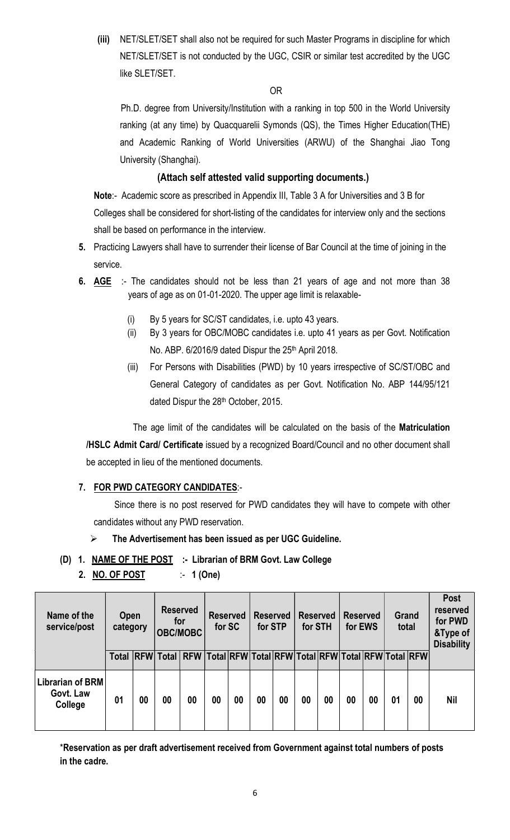(iii) NET/SLET/SET shall also not be required for such Master Programs in discipline for which NET/SLET/SET is not conducted by the UGC, CSIR or similar test accredited by the UGC like SLET/SET.

**OR** Service Service Service Service Service Service Service Service Service Service Service Service Service Service Service Service Service Service Service Service Service Service Service Service Service Service Service S

 Ph.D. degree from University/Institution with a ranking in top 500 in the World University ranking (at any time) by Quacquarelii Symonds (QS), the Times Higher Education(THE) and Academic Ranking of World Universities (ARWU) of the Shanghai Jiao Tong University (Shanghai).

# (Attach self attested valid supporting documents.)

Note:- Academic score as prescribed in Appendix III, Table 3 A for Universities and 3 B for Colleges shall be considered for short-listing of the candidates for interview only and the sections shall be based on performance in the interview.

- 5. Practicing Lawyers shall have to surrender their license of Bar Council at the time of joining in the service.
- 6. AGE :- The candidates should not be less than 21 years of age and not more than 38 years of age as on 01-01-2020. The upper age limit is relaxable-
	- (i) By 5 years for SC/ST candidates, i.e. upto 43 years.
	- (ii) By 3 years for OBC/MOBC candidates i.e. upto 41 years as per Govt. Notification No. ABP. 6/2016/9 dated Dispur the 25<sup>th</sup> April 2018.
	- (iii) For Persons with Disabilities (PWD) by 10 years irrespective of SC/ST/OBC and General Category of candidates as per Govt. Notification No. ABP 144/95/121 dated Dispur the 28<sup>th</sup> October, 2015.

The age limit of the candidates will be calculated on the basis of the Matriculation /HSLC Admit Card/ Certificate issued by a recognized Board/Council and no other document shall be accepted in lieu of the mentioned documents.

# 7. FOR PWD CATEGORY CANDIDATES:-

 Since there is no post reserved for PWD candidates they will have to compete with other candidates without any PWD reservation.

# $\triangleright$  The Advertisement has been issued as per UGC Guideline.

- (D) 1. NAME OF THE POST :- Librarian of BRM Govt. Law College
	- 2. NO. OF POST :- 1 (One)

| Name of the<br>service/post                     | Open<br>category |    | <b>Reserved</b><br>for<br><b>OBC/MOBC</b>                                     |    | <b>Reserved</b><br>for SC |    | <b>Reserved</b><br>for STP |    | Reserved<br>for STH |    | <b>Reserved</b><br>for EWS |    | Grand<br>total |    | <b>Post</b><br>reserved<br>for PWD<br>&Type of<br><b>Disability</b> |
|-------------------------------------------------|------------------|----|-------------------------------------------------------------------------------|----|---------------------------|----|----------------------------|----|---------------------|----|----------------------------|----|----------------|----|---------------------------------------------------------------------|
|                                                 | <b>Total</b>     |    | RFW Total   RFW   Total   RFW Total   RFW Total   RFW Total   RFW Total   RFW |    |                           |    |                            |    |                     |    |                            |    |                |    |                                                                     |
| <b>Librarian of BRM</b><br>Govt. Law<br>College | 01               | 00 | 00                                                                            | 00 | 00                        | 00 | 00                         | 00 | 00                  | 00 | 00                         | 00 | 01             | 00 | <b>Nil</b>                                                          |

\*Reservation as per draft advertisement received from Government against total numbers of posts in the cadre.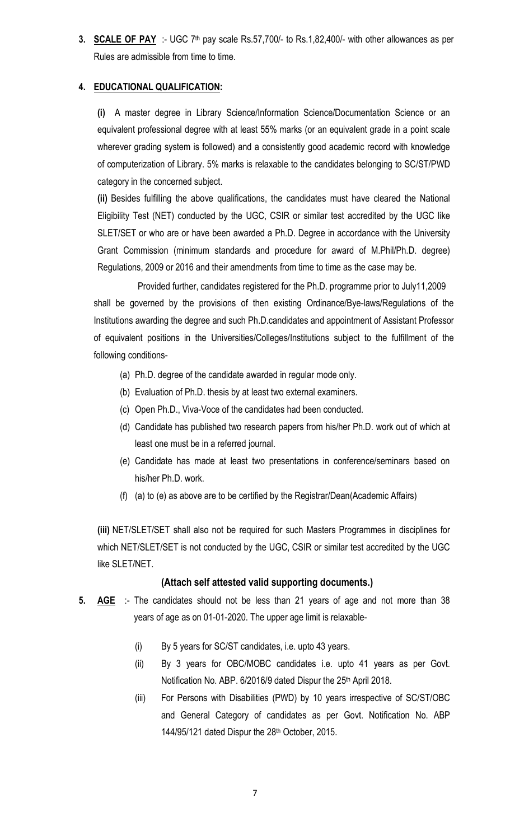3. SCALE OF PAY :- UGC 7<sup>th</sup> pay scale Rs.57,700/- to Rs.1,82,400/- with other allowances as per Rules are admissible from time to time.

# 4. EDUCATIONAL QUALIFICATION:

(i) A master degree in Library Science/Information Science/Documentation Science or an equivalent professional degree with at least 55% marks (or an equivalent grade in a point scale wherever grading system is followed) and a consistently good academic record with knowledge of computerization of Library. 5% marks is relaxable to the candidates belonging to SC/ST/PWD category in the concerned subject.

(ii) Besides fulfilling the above qualifications, the candidates must have cleared the National Eligibility Test (NET) conducted by the UGC, CSIR or similar test accredited by the UGC like SLET/SET or who are or have been awarded a Ph.D. Degree in accordance with the University Grant Commission (minimum standards and procedure for award of M.Phil/Ph.D. degree) Regulations, 2009 or 2016 and their amendments from time to time as the case may be.

 Provided further, candidates registered for the Ph.D. programme prior to July11,2009 shall be governed by the provisions of then existing Ordinance/Bye-laws/Regulations of the Institutions awarding the degree and such Ph.D.candidates and appointment of Assistant Professor of equivalent positions in the Universities/Colleges/Institutions subject to the fulfillment of the following conditions-

- (a) Ph.D. degree of the candidate awarded in regular mode only.
- (b) Evaluation of Ph.D. thesis by at least two external examiners.
- (c) Open Ph.D., Viva-Voce of the candidates had been conducted.
- (d) Candidate has published two research papers from his/her Ph.D. work out of which at least one must be in a referred journal.
- (e) Candidate has made at least two presentations in conference/seminars based on his/her Ph.D. work.
- (f) (a) to (e) as above are to be certified by the Registrar/Dean(Academic Affairs)

(iii) NET/SLET/SET shall also not be required for such Masters Programmes in disciplines for which NET/SLET/SET is not conducted by the UGC, CSIR or similar test accredited by the UGC like SLET/NET.

# (Attach self attested valid supporting documents.)

- 5.  $\overline{AGE}$  :- The candidates should not be less than 21 years of age and not more than 38 years of age as on 01-01-2020. The upper age limit is relaxable-
	- (i) By 5 years for SC/ST candidates, i.e. upto 43 years.
	- (ii) By 3 years for OBC/MOBC candidates i.e. upto 41 years as per Govt. Notification No. ABP. 6/2016/9 dated Dispur the 25<sup>th</sup> April 2018.
	- (iii) For Persons with Disabilities (PWD) by 10 years irrespective of SC/ST/OBC and General Category of candidates as per Govt. Notification No. ABP 144/95/121 dated Dispur the 28<sup>th</sup> October, 2015.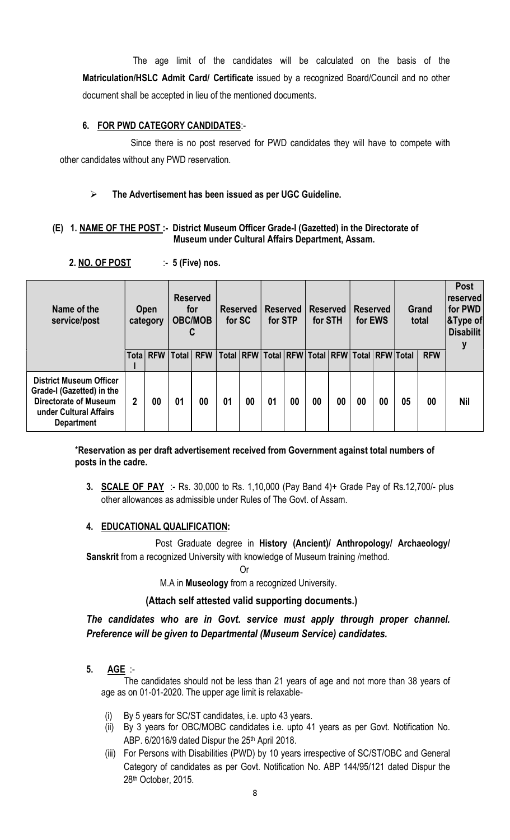The age limit of the candidates will be calculated on the basis of the Matriculation/HSLC Admit Card/ Certificate issued by a recognized Board/Council and no other document shall be accepted in lieu of the mentioned documents.

## 6. FOR PWD CATEGORY CANDIDATES:-

 Since there is no post reserved for PWD candidates they will have to compete with other candidates without any PWD reservation.

# $\triangleright$  The Advertisement has been issued as per UGC Guideline.

#### (E) 1. NAME OF THE POST :- District Museum Officer Grade-I (Gazetted) in the Directorate of Museum under Cultural Affairs Department, Assam.

2. NO. OF POST :- 5 (Five) nos.

| Name of the<br>service/post                                                                                                                | <b>Open</b><br>category |          | <b>Reserved</b><br>for<br><b>OBC/MOB</b><br>C |            | <b>Reserved</b><br>for SC |    | <b>Reserved</b><br>for STP                    |    | <b>Reserved</b><br>for STH |    | <b>Reserved</b><br>for EWS |    | <b>Grand</b><br>total |            | <b>Post</b><br>reserved<br>for PWD<br>$ $ &Type of<br><b>Disabilit</b> |
|--------------------------------------------------------------------------------------------------------------------------------------------|-------------------------|----------|-----------------------------------------------|------------|---------------------------|----|-----------------------------------------------|----|----------------------------|----|----------------------------|----|-----------------------|------------|------------------------------------------------------------------------|
|                                                                                                                                            |                         | Tota RFW | <b>Total</b>                                  | <b>RFW</b> |                           |    | Total RFW Total RFW Total RFW Total RFW Total |    |                            |    |                            |    |                       | <b>RFW</b> |                                                                        |
| <b>District Museum Officer</b><br>Grade-I (Gazetted) in the<br><b>Directorate of Museum</b><br>under Cultural Affairs<br><b>Department</b> | 2                       | 00       | 01                                            | 00         | 01                        | 00 | 01                                            | 00 | 00                         | 00 | 00                         | 00 | 05                    | 00         | <b>Nil</b>                                                             |

\*Reservation as per draft advertisement received from Government against total numbers of posts in the cadre.

3. SCALE OF PAY :- Rs. 30,000 to Rs. 1,10,000 (Pay Band 4)+ Grade Pay of Rs.12,700/- plus other allowances as admissible under Rules of The Govt. of Assam.

# 4. EDUCATIONAL QUALIFICATION:

 Post Graduate degree in History (Ancient)/ Anthropology/ Archaeology/ Sanskrit from a recognized University with knowledge of Museum training /method.

**Contract Contract Contract Contract Contract Contract Contract Contract Contract Contract Contract Contract Contract Contract Contract Contract Contract Contract Contract Contract Contract Contract Contract Contract Contr** 

M.A in Museology from a recognized University.

# (Attach self attested valid supporting documents.)

# The candidates who are in Govt. service must apply through proper channel. Preference will be given to Departmental (Museum Service) candidates.

5. AGE :-

 The candidates should not be less than 21 years of age and not more than 38 years of age as on 01-01-2020. The upper age limit is relaxable-

- By 5 years for SC/ST candidates, i.e. upto 43 years.
- (ii) By 3 years for OBC/MOBC candidates i.e. upto 41 years as per Govt. Notification No. ABP. 6/2016/9 dated Dispur the 25th April 2018.
- (iii) For Persons with Disabilities (PWD) by 10 years irrespective of SC/ST/OBC and General Category of candidates as per Govt. Notification No. ABP 144/95/121 dated Dispur the 28th October, 2015.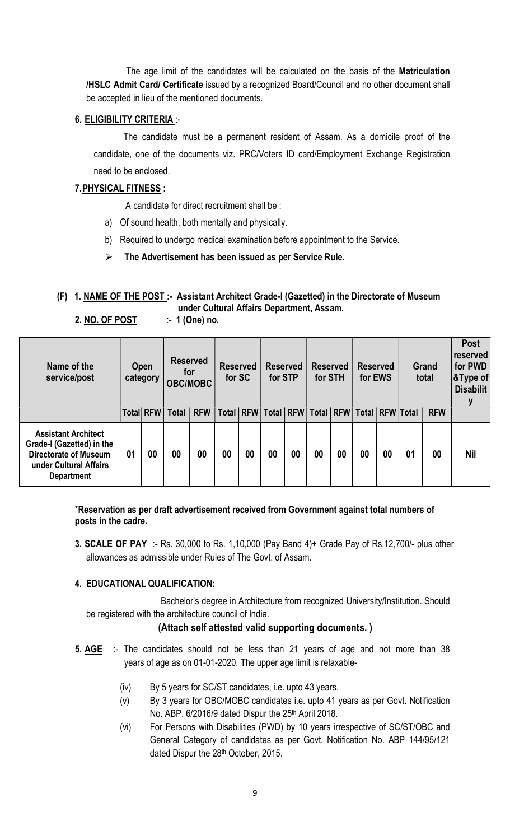The age limit of the candidates will be calculated on the basis of the Matriculation /HSLC Admit Card/ Certificate issued by a recognized Board/Council and no other document shall be accepted in lieu of the mentioned documents.

## 6. ELIGIBILITY CRITERIA :-

 The candidate must be a permanent resident of Assam. As a domicile proof of the candidate, one of the documents viz. PRC/Voters ID card/Employment Exchange Registration need to be enclosed.

## 7.PHYSICAL FITNESS :

A candidate for direct recruitment shall be :

- a) Of sound health, both mentally and physically.
- b) Required to undergo medical examination before appointment to the Service.
- The Advertisement has been issued as per Service Rule.

# (F) 1. NAME OF THE POST :- Assistant Architect Grade-I (Gazetted) in the Directorate of Museum under Cultural Affairs Department, Assam.

2. NO. OF POST :- 1 (One) no.

| Name of the<br>service/post                                                                                                            | <b>Open</b><br>category |           | <b>Reserved</b><br>for<br><b>OBC/MOBC</b> |            | <b>Reserved</b><br>for SC |             | <b>Reserved</b><br>for STP |             | <b>Reserved</b><br>for STH |             | <b>Reserved</b><br>for EWS |                 | Grand<br>total |            | <b>Post</b><br>reserved<br>for PWD<br>$ \&$ Type of $ $<br><b>Disabilit</b> |
|----------------------------------------------------------------------------------------------------------------------------------------|-------------------------|-----------|-------------------------------------------|------------|---------------------------|-------------|----------------------------|-------------|----------------------------|-------------|----------------------------|-----------------|----------------|------------|-----------------------------------------------------------------------------|
|                                                                                                                                        |                         | Total RFW | <b>Total</b>                              | <b>RFW</b> |                           | Total   RFW |                            | Total   RFW |                            | Total   RFW |                            | Total RFW Total |                | <b>RFW</b> |                                                                             |
| <b>Assistant Architect</b><br>Grade-I (Gazetted) in the<br><b>Directorate of Museum</b><br>under Cultural Affairs<br><b>Department</b> | 01                      | 00        | 00                                        | 00         | 00                        | 00          | 00                         | 00          | 00                         | 00          | 00                         | 00              | 01             | 00         | <b>Nil</b>                                                                  |

\*Reservation as per draft advertisement received from Government against total numbers of posts in the cadre.

3. **SCALE OF PAY** :- Rs. 30,000 to Rs. 1,10,000 (Pay Band 4)+ Grade Pay of Rs.12,700/- plus other allowances as admissible under Rules of The Govt. of Assam.

#### 4. EDUCATIONAL QUALIFICATION:

 Bachelor's degree in Architecture from recognized University/Institution. Should be registered with the architecture council of India.

# (Attach self attested valid supporting documents. )

- 5. AGE :- The candidates should not be less than 21 years of age and not more than 38 years of age as on 01-01-2020. The upper age limit is relaxable-
	- (iv) By 5 years for SC/ST candidates, i.e. upto 43 years.
	- (v) By 3 years for OBC/MOBC candidates i.e. upto 41 years as per Govt. Notification No. ABP. 6/2016/9 dated Dispur the 25<sup>th</sup> April 2018.
	- (vi) For Persons with Disabilities (PWD) by 10 years irrespective of SC/ST/OBC and General Category of candidates as per Govt. Notification No. ABP 144/95/121 dated Dispur the 28<sup>th</sup> October, 2015.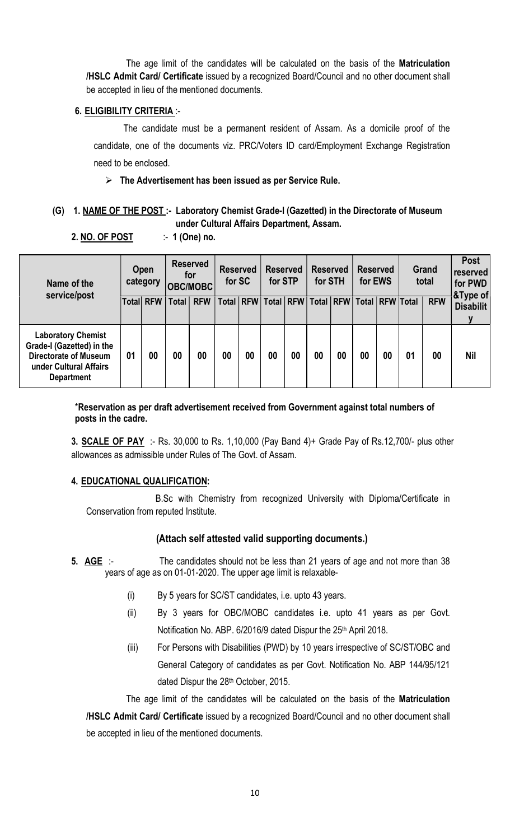The age limit of the candidates will be calculated on the basis of the Matriculation /HSLC Admit Card/ Certificate issued by a recognized Board/Council and no other document shall be accepted in lieu of the mentioned documents.

#### 6. ELIGIBILITY CRITERIA :-

 The candidate must be a permanent resident of Assam. As a domicile proof of the candidate, one of the documents viz. PRC/Voters ID card/Employment Exchange Registration need to be enclosed.

 $\triangleright$  The Advertisement has been issued as per Service Rule.

# (G) 1. NAME OF THE POST :- Laboratory Chemist Grade-I (Gazetted) in the Directorate of Museum under Cultural Affairs Department, Assam.

2. NO. OF POST :- 1 (One) no.

| Name of the<br>service/post                                                                                                           | Open<br>category |            | <b>Reserved</b><br>for<br><b>OBC/MOBC</b> |            | <b>Reserved</b><br>for SC |             | <b>Reserved</b><br>for STP |             | <b>Reserved</b><br>for STH |    | <b>Reserved</b><br>for EWS |                  | Grand<br>total |            | <b>Post</b><br>reserved<br>for PWD<br>&Type of |
|---------------------------------------------------------------------------------------------------------------------------------------|------------------|------------|-------------------------------------------|------------|---------------------------|-------------|----------------------------|-------------|----------------------------|----|----------------------------|------------------|----------------|------------|------------------------------------------------|
|                                                                                                                                       | Totall           | <b>RFW</b> | <b>Total</b>                              | <b>RFW</b> |                           | Total   RFW |                            | Total   RFW |                            |    | Total   RFW   Total        | <b>RFW Total</b> |                | <b>RFW</b> | <b>Disabilit</b><br>v                          |
| <b>Laboratory Chemist</b><br>Grade-I (Gazetted) in the<br><b>Directorate of Museum</b><br>under Cultural Affairs<br><b>Department</b> | 01               | 00         | 00                                        | 00         | 00                        | 00          | 00                         | 00          | 00                         | 00 | 00                         | 00               | 01             | 00         | <b>Nil</b>                                     |

\*Reservation as per draft advertisement received from Government against total numbers of posts in the cadre.

3. **SCALE OF PAY** :- Rs. 30,000 to Rs. 1,10,000 (Pay Band 4)+ Grade Pay of Rs.12,700/- plus other allowances as admissible under Rules of The Govt. of Assam.

#### 4. EDUCATIONAL QUALIFICATION:

 B.Sc with Chemistry from recognized University with Diploma/Certificate in Conservation from reputed Institute.

#### (Attach self attested valid supporting documents.)

- 5. AGE :- The candidates should not be less than 21 years of age and not more than 38 years of age as on 01-01-2020. The upper age limit is relaxable-
	- (i) By 5 years for SC/ST candidates, i.e. upto 43 years.
	- (ii) By 3 years for OBC/MOBC candidates i.e. upto 41 years as per Govt. Notification No. ABP. 6/2016/9 dated Dispur the 25<sup>th</sup> April 2018.
	- (iii) For Persons with Disabilities (PWD) by 10 years irrespective of SC/ST/OBC and General Category of candidates as per Govt. Notification No. ABP 144/95/121 dated Dispur the 28<sup>th</sup> October, 2015.
	- The age limit of the candidates will be calculated on the basis of the Matriculation

/HSLC Admit Card/ Certificate issued by a recognized Board/Council and no other document shall be accepted in lieu of the mentioned documents.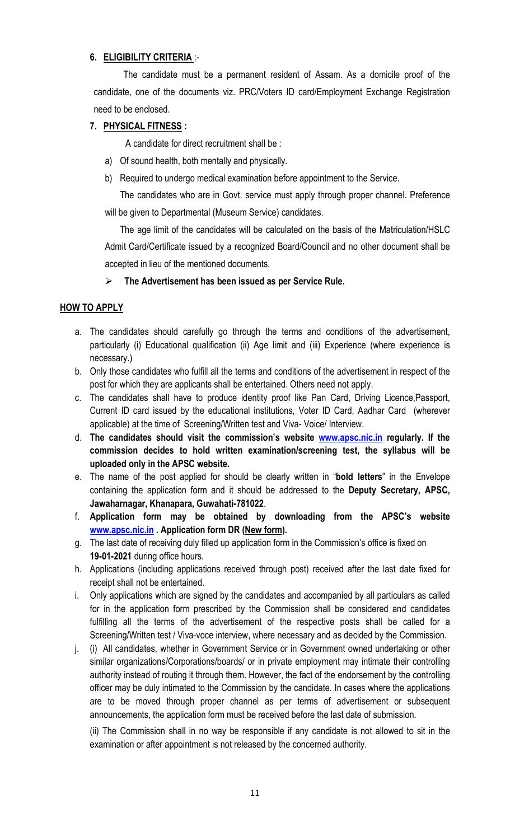# 6. ELIGIBILITY CRITERIA :-

 The candidate must be a permanent resident of Assam. As a domicile proof of the candidate, one of the documents viz. PRC/Voters ID card/Employment Exchange Registration need to be enclosed.

# 7. PHYSICAL FITNESS :

A candidate for direct recruitment shall be :

- a) Of sound health, both mentally and physically.
- b) Required to undergo medical examination before appointment to the Service.

The candidates who are in Govt. service must apply through proper channel. Preference will be given to Departmental (Museum Service) candidates.

The age limit of the candidates will be calculated on the basis of the Matriculation/HSLC Admit Card/Certificate issued by a recognized Board/Council and no other document shall be accepted in lieu of the mentioned documents.

#### $\triangleright$  The Advertisement has been issued as per Service Rule.

#### HOW TO APPLY

- a. The candidates should carefully go through the terms and conditions of the advertisement, particularly (i) Educational qualification (ii) Age limit and (iii) Experience (where experience is necessary.)
- b. Only those candidates who fulfill all the terms and conditions of the advertisement in respect of the post for which they are applicants shall be entertained. Others need not apply.
- c. The candidates shall have to produce identity proof like Pan Card, Driving Licence,Passport, Current ID card issued by the educational institutions, Voter ID Card, Aadhar Card (wherever applicable) at the time of Screening/Written test and Viva- Voice/ Interview.
- d. The candidates should visit the commission's website www.apsc.nic.in regularly. If the commission decides to hold written examination/screening test, the syllabus will be uploaded only in the APSC website.
- e. The name of the post applied for should be clearly written in "bold letters" in the Envelope containing the application form and it should be addressed to the Deputy Secretary, APSC, Jawaharnagar, Khanapara, Guwahati-781022.
- f. Application form may be obtained by downloading from the APSC's website www.apsc.nic.in. Application form DR (New form).
- g. The last date of receiving duly filled up application form in the Commission's office is fixed on 19-01-2021 during office hours.
- h. Applications (including applications received through post) received after the last date fixed for receipt shall not be entertained.
- i. Only applications which are signed by the candidates and accompanied by all particulars as called for in the application form prescribed by the Commission shall be considered and candidates fulfilling all the terms of the advertisement of the respective posts shall be called for a Screening/Written test / Viva-voce interview, where necessary and as decided by the Commission.
- j. (i) All candidates, whether in Government Service or in Government owned undertaking or other similar organizations/Corporations/boards/ or in private employment may intimate their controlling authority instead of routing it through them. However, the fact of the endorsement by the controlling officer may be duly intimated to the Commission by the candidate. In cases where the applications are to be moved through proper channel as per terms of advertisement or subsequent announcements, the application form must be received before the last date of submission.

(ii) The Commission shall in no way be responsible if any candidate is not allowed to sit in the examination or after appointment is not released by the concerned authority.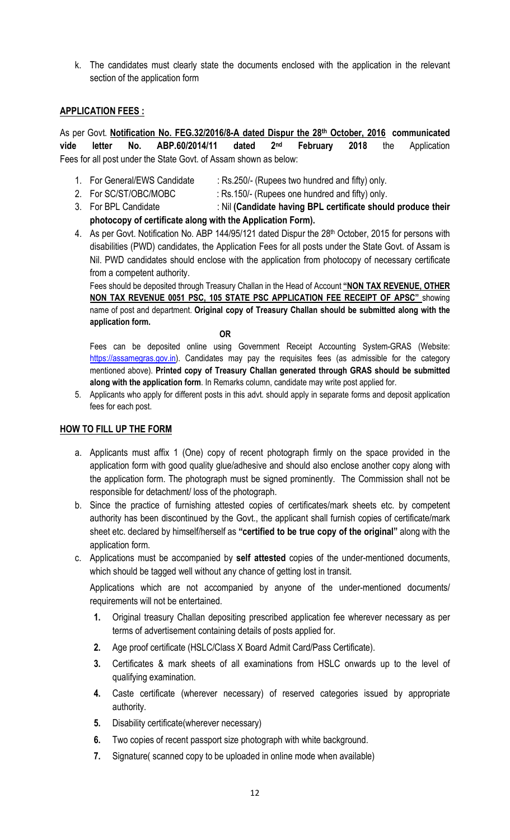k. The candidates must clearly state the documents enclosed with the application in the relevant section of the application form

## APPLICATION FEES :

As per Govt. Notification No. FEG.32/2016/8-A dated Dispur the 28th October, 2016 communicated vide letter No. ABP.60/2014/11 dated 2<sup>nd</sup> February 2018 the Application Fees for all post under the State Govt. of Assam shown as below:

- 1. For General/EWS Candidate : Rs.250/- (Rupees two hundred and fifty) only.
- 2. For SC/ST/OBC/MOBC : Rs.150/- (Rupees one hundred and fifty) only.
- 3. For BPL Candidate : Nil (Candidate having BPL certificate should produce their photocopy of certificate along with the Application Form).
- 4. As per Govt. Notification No. ABP 144/95/121 dated Dispur the 28<sup>th</sup> October, 2015 for persons with disabilities (PWD) candidates, the Application Fees for all posts under the State Govt. of Assam is Nil. PWD candidates should enclose with the application from photocopy of necessary certificate from a competent authority.

Fees should be deposited through Treasury Challan in the Head of Account "NON TAX REVENUE, OTHER NON TAX REVENUE 0051 PSC, 105 STATE PSC APPLICATION FEE RECEIPT OF APSC" showing name of post and department. Original copy of Treasury Challan should be submitted along with the application form.

**OR** Service Service Service Service Service Service Service Service Service Service Service Service Service Service Service Service Service Service Service Service Service Service Service Service Service Service Service S

Fees can be deposited online using Government Receipt Accounting System-GRAS (Website: https://assamegras.gov.in). Candidates may pay the requisites fees (as admissible for the category mentioned above). Printed copy of Treasury Challan generated through GRAS should be submitted along with the application form. In Remarks column, candidate may write post applied for.

5. Applicants who apply for different posts in this advt. should apply in separate forms and deposit application fees for each post.

#### HOW TO FILL UP THE FORM

- a. Applicants must affix 1 (One) copy of recent photograph firmly on the space provided in the application form with good quality glue/adhesive and should also enclose another copy along with the application form. The photograph must be signed prominently. The Commission shall not be responsible for detachment/ loss of the photograph.
- b. Since the practice of furnishing attested copies of certificates/mark sheets etc. by competent authority has been discontinued by the Govt., the applicant shall furnish copies of certificate/mark sheet etc. declared by himself/herself as "certified to be true copy of the original" along with the application form.
- c. Applications must be accompanied by self attested copies of the under-mentioned documents, which should be tagged well without any chance of getting lost in transit.

Applications which are not accompanied by anyone of the under-mentioned documents/ requirements will not be entertained.

- 1. Original treasury Challan depositing prescribed application fee wherever necessary as per terms of advertisement containing details of posts applied for.
- 2. Age proof certificate (HSLC/Class X Board Admit Card/Pass Certificate).
- 3. Certificates & mark sheets of all examinations from HSLC onwards up to the level of qualifying examination.
- 4. Caste certificate (wherever necessary) of reserved categories issued by appropriate authority.
- 5. Disability certificate(wherever necessary)
- 6. Two copies of recent passport size photograph with white background.
- 7. Signature( scanned copy to be uploaded in online mode when available)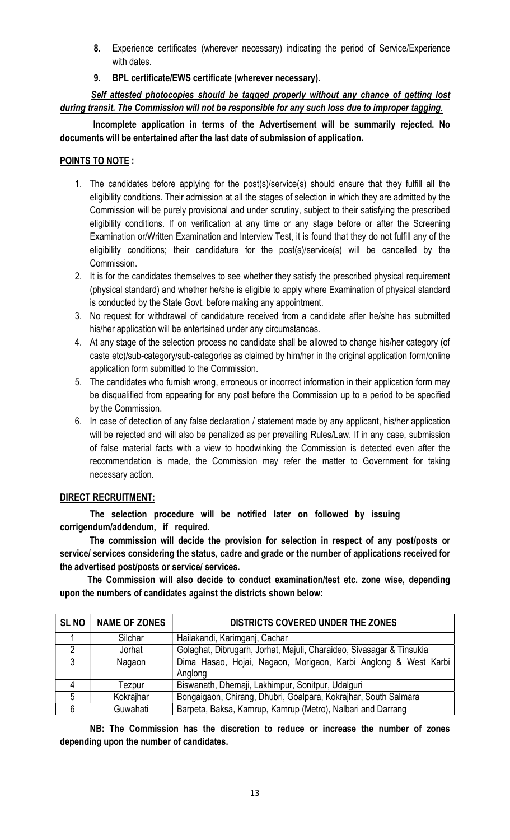- 8. Experience certificates (wherever necessary) indicating the period of Service/Experience with dates.
- 9. BPL certificate/EWS certificate (wherever necessary).

Self attested photocopies should be tagged properly without any chance of getting lost during transit. The Commission will not be responsible for any such loss due to improper tagging.

 Incomplete application in terms of the Advertisement will be summarily rejected. No documents will be entertained after the last date of submission of application.

# POINTS TO NOTE :

- 1. The candidates before applying for the post(s)/service(s) should ensure that they fulfill all the eligibility conditions. Their admission at all the stages of selection in which they are admitted by the Commission will be purely provisional and under scrutiny, subject to their satisfying the prescribed eligibility conditions. If on verification at any time or any stage before or after the Screening Examination or/Written Examination and Interview Test, it is found that they do not fulfill any of the eligibility conditions; their candidature for the post(s)/service(s) will be cancelled by the Commission.
- 2. It is for the candidates themselves to see whether they satisfy the prescribed physical requirement (physical standard) and whether he/she is eligible to apply where Examination of physical standard is conducted by the State Govt. before making any appointment.
- 3. No request for withdrawal of candidature received from a candidate after he/she has submitted his/her application will be entertained under any circumstances.
- 4. At any stage of the selection process no candidate shall be allowed to change his/her category (of caste etc)/sub-category/sub-categories as claimed by him/her in the original application form/online application form submitted to the Commission.
- 5. The candidates who furnish wrong, erroneous or incorrect information in their application form may be disqualified from appearing for any post before the Commission up to a period to be specified by the Commission.
- 6. In case of detection of any false declaration / statement made by any applicant, his/her application will be rejected and will also be penalized as per prevailing Rules/Law. If in any case, submission of false material facts with a view to hoodwinking the Commission is detected even after the recommendation is made, the Commission may refer the matter to Government for taking necessary action.

# DIRECT RECRUITMENT:

The selection procedure will be notified later on followed by issuing corrigendum/addendum, if required.

 The commission will decide the provision for selection in respect of any post/posts or service/ services considering the status, cadre and grade or the number of applications received for the advertised post/posts or service/ services.

 The Commission will also decide to conduct examination/test etc. zone wise, depending upon the numbers of candidates against the districts shown below:

| <b>SLNO</b> | <b>NAME OF ZONES</b> | <b>DISTRICTS COVERED UNDER THE ZONES</b>                                   |
|-------------|----------------------|----------------------------------------------------------------------------|
|             | Silchar              | Hailakandi, Karimganj, Cachar                                              |
| 2           | Jorhat               | Golaghat, Dibrugarh, Jorhat, Majuli, Charaideo, Sivasagar & Tinsukia       |
| 3           | Nagaon               | Dima Hasao, Hojai, Nagaon, Morigaon, Karbi Anglong & West Karbi<br>Anglong |
| 4           | Tezpur               | Biswanath, Dhemaji, Lakhimpur, Sonitpur, Udalguri                          |
| 5           | Kokrajhar            | Bongaigaon, Chirang, Dhubri, Goalpara, Kokrajhar, South Salmara            |
| 6           | Guwahati             | Barpeta, Baksa, Kamrup, Kamrup (Metro), Nalbari and Darrang                |

NB: The Commission has the discretion to reduce or increase the number of zones depending upon the number of candidates.